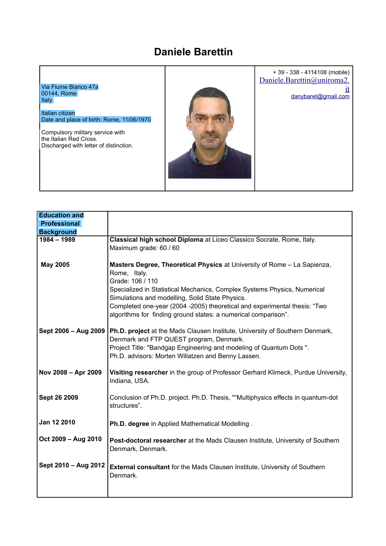## **Daniele Barettin**



| <b>Education and</b> |                                                                                                                             |
|----------------------|-----------------------------------------------------------------------------------------------------------------------------|
| <b>Professional</b>  |                                                                                                                             |
| <b>Background</b>    |                                                                                                                             |
| $1984 - 1989$        | Classical high school Diploma at Liceo Classico Socrate, Rome, Italy.                                                       |
|                      | Maximum grade: 60 / 60                                                                                                      |
|                      |                                                                                                                             |
| <b>May 2005</b>      | Masters Degree, Theoretical Physics at University of Rome - La Sapienza,                                                    |
|                      | Rome, Italy.                                                                                                                |
|                      | Grade: 106 / 110                                                                                                            |
|                      | Specialized in Statistical Mechanics, Complex Systems Physics, Numerical<br>Simulations and modelling, Solid State Physics. |
|                      | Completed one-year (2004 -2005) theoretical and experimental thesis: "Two                                                   |
|                      | algorithms for finding ground states: a numerical comparison".                                                              |
|                      |                                                                                                                             |
| Sept 2006 - Aug 2009 | Ph.D. project at the Mads Clausen Institute, University of Southern Denmark,                                                |
|                      | Denmark and FTP QUEST program, Denmark.                                                                                     |
|                      | Project Title: "Bandgap Engineering and modeling of Quantum Dots".                                                          |
|                      | Ph.D. advisors: Morten Willatzen and Benny Lassen.                                                                          |
|                      |                                                                                                                             |
| Nov 2008 - Apr 2009  | Visiting researcher in the group of Professor Gerhard Klimeck, Purdue University,                                           |
|                      | Indiana, USA.                                                                                                               |
|                      |                                                                                                                             |
| Sept 26 2009         | Conclusion of Ph.D. project. Ph.D. Thesis, ""Multiphysics effects in quantum-dot                                            |
|                      | structures".                                                                                                                |
| Jan 12 2010          |                                                                                                                             |
|                      | Ph.D. degree in Applied Mathematical Modelling.                                                                             |
| Oct 2009 - Aug 2010  |                                                                                                                             |
|                      | Post-doctoral researcher at the Mads Clausen Institute, University of Southern<br>Denmark, Denmark.                         |
|                      |                                                                                                                             |
| Sept 2010 - Aug 2012 | <b>External consultant</b> for the Mads Clausen Institute, University of Southern                                           |
|                      | Denmark.                                                                                                                    |
|                      |                                                                                                                             |
|                      |                                                                                                                             |
|                      |                                                                                                                             |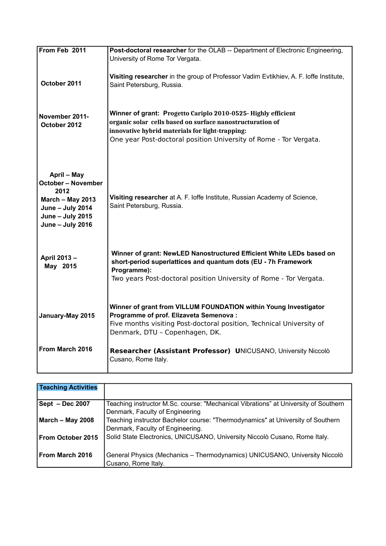| From Feb 2011                                                                                                                    | Post-doctoral researcher for the OLAB -- Department of Electronic Engineering,<br>University of Rome Tor Vergata.                                                                                                                                  |
|----------------------------------------------------------------------------------------------------------------------------------|----------------------------------------------------------------------------------------------------------------------------------------------------------------------------------------------------------------------------------------------------|
| October 2011                                                                                                                     | Visiting researcher in the group of Professor Vadim Evtikhiev, A. F. loffe Institute,<br>Saint Petersburg, Russia.                                                                                                                                 |
| November 2011-<br>October 2012                                                                                                   | Winner of grant: Progetto Cariplo 2010-0525- Highly efficient<br>organic solar cells based on surface nanostructuration of<br>innovative hybrid materials for light-trapping:<br>One year Post-doctoral position University of Rome - Tor Vergata. |
| April - May<br><b>October - November</b><br>2012<br>March - May 2013<br>June - July 2014<br>June - July 2015<br>June - July 2016 | Visiting researcher at A. F. loffe Institute, Russian Academy of Science,<br>Saint Petersburg, Russia.                                                                                                                                             |
| April 2013-<br>May 2015                                                                                                          | Winner of grant: NewLED Nanostructured Efficient White LEDs based on<br>short-period superlattices and quantum dots (EU - 7h Framework<br>Programme):<br>Two years Post-doctoral position University of Rome - Tor Vergata.                        |
| January-May 2015                                                                                                                 | Winner of grant from VILLUM FOUNDATION within Young Investigator<br>Programme of prof. Elizaveta Semenova :<br>Five months visiting Post-doctoral position, Technical University of<br>Denmark, DTU - Copenhagen, DK.                              |
| From March 2016                                                                                                                  | Researcher (Assistant Professor) UNICUSANO, University Niccolò<br>Cusano, Rome Italy.                                                                                                                                                              |

| <b>Teaching Activities</b> |                                                                                                                        |
|----------------------------|------------------------------------------------------------------------------------------------------------------------|
| Sept - Dec 2007            | Teaching instructor M.Sc. course: "Mechanical Vibrations" at University of Southern<br>Denmark, Faculty of Engineering |
| <b>March - May 2008</b>    | Teaching instructor Bachelor course: "Thermodynamics" at University of Southern<br>Denmark, Faculty of Engineering.    |
| From October 2015          | Solid State Electronics, UNICUSANO, University Niccolò Cusano, Rome Italy.                                             |
| From March 2016            | General Physics (Mechanics - Thermodynamics) UNICUSANO, University Niccolò<br>Cusano, Rome Italy.                      |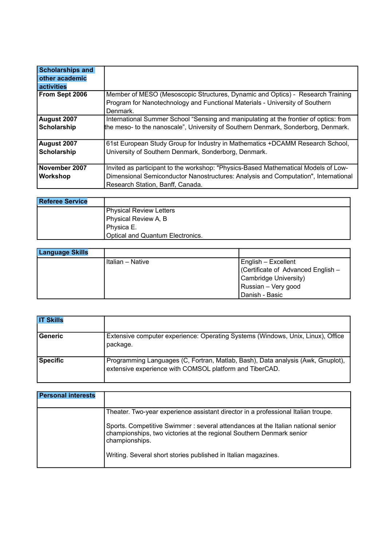| <b>Scholarships and</b> |                                                                                       |
|-------------------------|---------------------------------------------------------------------------------------|
| other academic          |                                                                                       |
| activities              |                                                                                       |
| From Sept 2006          | Member of MESO (Mesoscopic Structures, Dynamic and Optics) - Research Training        |
|                         | Program for Nanotechnology and Functional Materials - University of Southern          |
|                         | Denmark.                                                                              |
| August 2007             | International Summer School "Sensing and manipulating at the frontier of optics: from |
| Scholarship             | the meso- to the nanoscale", University of Southern Denmark, Sonderborg, Denmark.     |
|                         |                                                                                       |
| August 2007             | 61st European Study Group for Industry in Mathematics +DCAMM Research School,         |
| Scholarship             | University of Southern Denmark, Sonderborg, Denmark.                                  |
|                         |                                                                                       |
| November 2007           | Invited as participant to the workshop: "Physics-Based Mathematical Models of Low-    |
| Workshop                | Dimensional Semiconductor Nanostructures: Analysis and Computation", International    |
|                         | Research Station, Banff, Canada.                                                      |

| <b>Referee Service</b> |                                  |
|------------------------|----------------------------------|
|                        | <b>Physical Review Letters</b>   |
|                        | Physical Review A, B             |
|                        | l Phvsica E.                     |
|                        | Optical and Quantum Electronics. |

| <b>Language Skills</b> |                  |                                    |
|------------------------|------------------|------------------------------------|
|                        | Italian – Native | English - Excellent                |
|                        |                  | (Certificate of Advanced English - |
|                        |                  | Cambridge University)              |
|                        |                  | Russian - Very good                |
|                        |                  | Danish - Basic                     |

| <b>IT Skills</b> |                                                                                                                                            |
|------------------|--------------------------------------------------------------------------------------------------------------------------------------------|
| <b>Generic</b>   | Extensive computer experience: Operating Systems (Windows, Unix, Linux), Office<br>package.                                                |
| <b>Specific</b>  | Programming Languages (C, Fortran, Matlab, Bash), Data analysis (Awk, Gnuplot),<br>extensive experience with COMSOL platform and TiberCAD. |

| <b>Personal interests</b> |                                                                                                                                                                                                                                               |
|---------------------------|-----------------------------------------------------------------------------------------------------------------------------------------------------------------------------------------------------------------------------------------------|
|                           | Theater. Two-year experience assistant director in a professional Italian troupe.<br>Sports. Competitive Swimmer : several attendances at the Italian national senior<br>championships, two victories at the regional Southern Denmark senior |
|                           | championships.<br>Writing. Several short stories published in Italian magazines.                                                                                                                                                              |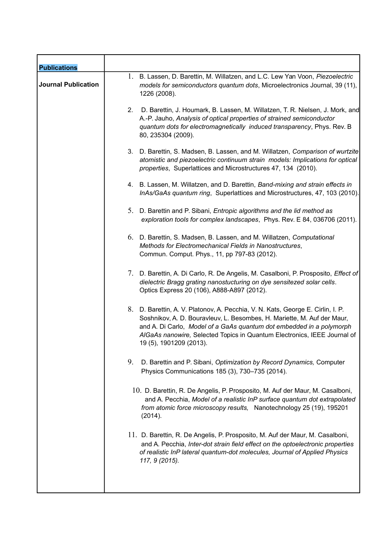| <b>Publications</b>        |                                                                                                                                                                                                                                                                                                                                           |
|----------------------------|-------------------------------------------------------------------------------------------------------------------------------------------------------------------------------------------------------------------------------------------------------------------------------------------------------------------------------------------|
| <b>Journal Publication</b> | 1. B. Lassen, D. Barettin, M. Willatzen, and L.C. Lew Yan Voon, Piezoelectric<br>models for semiconductors quantum dots, Microelectronics Journal, 39 (11),<br>1226 (2008).                                                                                                                                                               |
|                            | 2.<br>D. Barettin, J. Houmark, B. Lassen, M. Willatzen, T. R. Nielsen, J. Mork, and<br>A.-P. Jauho, Analysis of optical properties of strained semiconductor<br>quantum dots for electromagnetically induced transparency, Phys. Rev. B<br>80, 235304 (2009).                                                                             |
|                            | 3. D. Barettin, S. Madsen, B. Lassen, and M. Willatzen, Comparison of wurtzite<br>atomistic and piezoelectric continuum strain models: Implications for optical<br>properties, Superlattices and Microstructures 47, 134 (2010).                                                                                                          |
|                            | 4. B. Lassen, M. Willatzen, and D. Barettin, Band-mixing and strain effects in<br>InAs/GaAs quantum ring, Superlattices and Microstructures, 47, 103 (2010).                                                                                                                                                                              |
|                            | 5. D. Barettin and P. Sibani, <i>Entropic algorithms and the lid method as</i><br>exploration tools for complex landscapes, Phys. Rev. E 84, 036706 (2011).                                                                                                                                                                               |
|                            | 6. D. Barettin, S. Madsen, B. Lassen, and M. Willatzen, Computational<br>Methods for Electromechanical Fields in Nanostructures,<br>Commun. Comput. Phys., 11, pp 797-83 (2012).                                                                                                                                                          |
|                            | 7. D. Barettin, A. Di Carlo, R. De Angelis, M. Casalboni, P. Prosposito, <i>Effect of</i><br>dielectric Bragg grating nanostucturing on dye sensitezed solar cells.<br>Optics Express 20 (106), A888-A897 (2012).                                                                                                                         |
|                            | 8. D. Barettin, A. V. Platonov, A. Pecchia, V. N. Kats, George E. Cirlin, I. P.<br>Soshnikov, A. D. Bouravleuv, L. Besombes, H. Mariette, M. Auf der Maur,<br>and A. Di Carlo, Model of a GaAs quantum dot embedded in a polymorph<br>AIGaAs nanowire, Selected Topics in Quantum Electronics, IEEE Journal of<br>19 (5), 1901209 (2013). |
|                            | 9.<br>D. Barettin and P. Sibani, Optimization by Record Dynamics, Computer<br>Physics Communications 185 (3), 730-735 (2014).                                                                                                                                                                                                             |
|                            | 10. D. Barettin, R. De Angelis, P. Prosposito, M. Auf der Maur, M. Casalboni,<br>and A. Pecchia, Model of a realistic InP surface quantum dot extrapolated<br>from atomic force microscopy results, Nanotechnology 25 (19), 195201<br>(2014).                                                                                             |
|                            | 11. D. Barettin, R. De Angelis, P. Prosposito, M. Auf der Maur, M. Casalboni,<br>and A. Pecchia, Inter-dot strain field effect on the optoelectronic properties<br>of realistic InP lateral quantum-dot molecules, Journal of Applied Physics<br>117, 9 (2015).                                                                           |
|                            |                                                                                                                                                                                                                                                                                                                                           |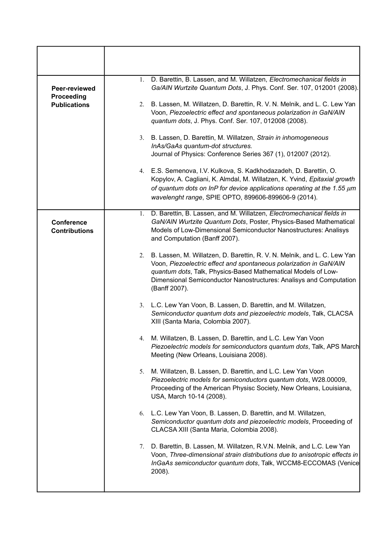| Peer-reviewed                             |    | 1. D. Barettin, B. Lassen, and M. Willatzen, Electromechanical fields in<br>Ga/AIN Wurtzite Quantum Dots, J. Phys. Conf. Ser. 107, 012001 (2008).                                                                                                                                                         |
|-------------------------------------------|----|-----------------------------------------------------------------------------------------------------------------------------------------------------------------------------------------------------------------------------------------------------------------------------------------------------------|
| Proceeding<br><b>Publications</b>         |    | 2. B. Lassen, M. Willatzen, D. Barettin, R. V. N. Melnik, and L. C. Lew Yan<br>Voon, Piezoelectric effect and spontaneous polarization in GaN/AIN<br>quantum dots, J. Phys. Conf. Ser. 107, 012008 (2008).                                                                                                |
|                                           |    | 3. B. Lassen, D. Barettin, M. Willatzen, Strain in inhomogeneous<br>InAs/GaAs quantum-dot structures.<br>Journal of Physics: Conference Series 367 (1), 012007 (2012).                                                                                                                                    |
|                                           |    | 4. E.S. Semenova, I.V. Kulkova, S. Kadkhodazadeh, D. Barettin, O.<br>Kopylov, A. Cagliani, K. Almdal, M. Willatzen, K. Yvind, Epitaxial growth<br>of quantum dots on InP for device applications operating at the 1.55 $\mu$ m<br>wavelenght range, SPIE OPTO, 899606-899606-9 (2014).                    |
| <b>Conference</b><br><b>Contributions</b> | 1. | D. Barettin, B. Lassen, and M. Willatzen, Electromechanical fields in<br>GaN/AIN Wurtzite Quantum Dots, Poster, Physics-Based Mathematical<br>Models of Low-Dimensional Semiconductor Nanostructures: Analisys<br>and Computation (Banff 2007).                                                           |
|                                           |    | 2. B. Lassen, M. Willatzen, D. Barettin, R. V. N. Melnik, and L. C. Lew Yan<br>Voon, Piezoelectric effect and spontaneous polarization in GaN/AIN<br>quantum dots, Talk, Physics-Based Mathematical Models of Low-<br>Dimensional Semiconductor Nanostructures: Analisys and Computation<br>(Banff 2007). |
|                                           |    | 3. L.C. Lew Yan Voon, B. Lassen, D. Barettin, and M. Willatzen,<br>Semiconductor quantum dots and piezoelectric models, Talk, CLACSA<br>XIII (Santa Maria, Colombia 2007).                                                                                                                                |
|                                           | 4. | M. Willatzen, B. Lassen, D. Barettin, and L.C. Lew Yan Voon<br>Piezoelectric models for semiconductors quantum dots, Talk, APS March<br>Meeting (New Orleans, Louisiana 2008).                                                                                                                            |
|                                           | 5. | M. Willatzen, B. Lassen, D. Barettin, and L.C. Lew Yan Voon<br>Piezoelectric models for semiconductors quantum dots, W28.00009,<br>Proceeding of the American Physisc Society, New Orleans, Louisiana,<br>USA, March 10-14 (2008).                                                                        |
|                                           | 6. | L.C. Lew Yan Voon, B. Lassen, D. Barettin, and M. Willatzen,<br>Semiconductor quantum dots and piezoelectric models, Proceeding of<br>CLACSA XIII (Santa Maria, Colombia 2008).                                                                                                                           |
|                                           |    | 7. D. Barettin, B. Lassen, M. Willatzen, R.V.N. Melnik, and L.C. Lew Yan<br>Voon, Three-dimensional strain distributions due to anisotropic effects in<br>InGaAs semiconductor quantum dots, Talk, WCCM8-ECCOMAS (Venice<br>2008).                                                                        |
|                                           |    |                                                                                                                                                                                                                                                                                                           |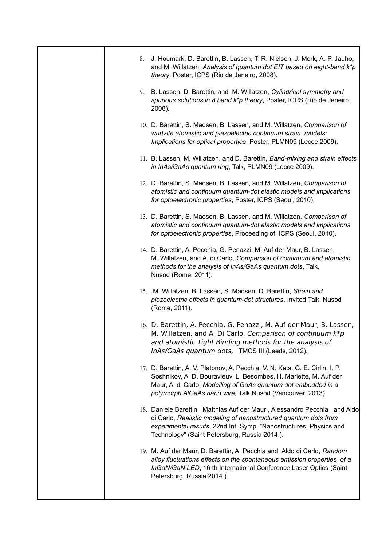| 8. | J. Houmark, D. Barettin, B. Lassen, T. R. Nielsen, J. Mork, A.-P. Jauho,<br>and M. Willatzen, Analysis of quantum dot EIT based on eight-band k*p<br>theory, Poster, ICPS (Rio de Jeneiro, 2008).                                                                                |
|----|----------------------------------------------------------------------------------------------------------------------------------------------------------------------------------------------------------------------------------------------------------------------------------|
|    | 9. B. Lassen, D. Barettin, and M. Willatzen, Cylindrical symmetry and<br>spurious solutions in 8 band k*p theory, Poster, ICPS (Rio de Jeneiro,<br>2008).                                                                                                                        |
|    | 10. D. Barettin, S. Madsen, B. Lassen, and M. Willatzen, Comparison of<br>wurtzite atomistic and piezoelectric continuum strain models:<br>Implications for optical properties, Poster, PLMN09 (Lecce 2009).                                                                     |
|    | 11. B. Lassen, M. Willatzen, and D. Barettin, Band-mixing and strain effects<br>in InAs/GaAs quantum ring, Talk, PLMN09 (Lecce 2009).                                                                                                                                            |
|    | 12. D. Barettin, S. Madsen, B. Lassen, and M. Willatzen, Comparison of<br>atomistic and continuum quantum-dot elastic models and implications<br>for optoelectronic properties, Poster, ICPS (Seoul, 2010).                                                                      |
|    | 13. D. Barettin, S. Madsen, B. Lassen, and M. Willatzen, Comparison of<br>atomistic and continuum quantum-dot elastic models and implications<br>for optoelectronic properties, Proceeding of ICPS (Seoul, 2010).                                                                |
|    | 14. D. Barettin, A. Pecchia, G. Penazzi, M. Auf der Maur, B. Lassen,<br>M. Willatzen, and A. di Carlo, Comparison of continuum and atomistic<br>methods for the analysis of InAs/GaAs quantum dots, Talk,<br>Nusod (Rome, 2011).                                                 |
|    | 15. M. Willatzen, B. Lassen, S. Madsen, D. Barettin, Strain and<br>piezoelectric effects in quantum-dot structures, Invited Talk, Nusod<br>(Rome, 2011).                                                                                                                         |
|    | 16. D. Barettin, A. Pecchia, G. Penazzi, M. Auf der Maur, B. Lassen,<br>M. Willatzen, and A. Di Carlo, Comparison of continuum $k^*p$<br>and atomistic Tight Binding methods for the analysis of<br>InAs/GaAs quantum dots, TMCS III (Leeds, 2012).                              |
|    | 17. D. Barettin, A. V. Platonov, A. Pecchia, V. N. Kats, G. E. Cirlin, I. P.<br>Soshnikov, A. D. Bouravleuv, L. Besombes, H. Mariette, M. Auf der<br>Maur, A. di Carlo, Modelling of GaAs quantum dot embedded in a<br>polymorph AIGaAs nano wire, Talk Nusod (Vancouver, 2013). |
|    | 18. Daniele Barettin, Matthias Auf der Maur, Alessandro Pecchia, and Aldo<br>di Carlo, Realistic modeling of nanostructured quantum dots from<br>experimental results, 22nd Int. Symp. "Nanostructures: Physics and<br>Technology" (Saint Petersburg, Russia 2014).              |
|    | 19. M. Auf der Maur, D. Barettin, A. Pecchia and Aldo di Carlo, Random<br>alloy fluctuations effects on the spontaneous emission properties of a<br>InGaN/GaN LED, 16 th International Conference Laser Optics (Saint<br>Petersburg, Russia 2014).                               |
|    |                                                                                                                                                                                                                                                                                  |